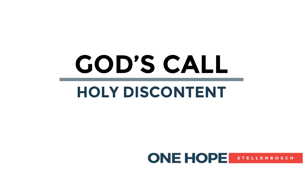# **GOD'S CALL**

# **HOLY DISCONTENT**

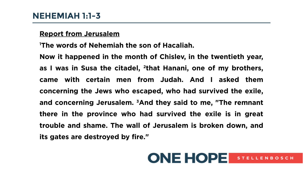#### **Report from Jerusalem**

**<sup>1</sup>The words of Nehemiah the son of Hacaliah.**

**Now it happened in the month of Chislev, in the twentieth year, as I was in Susa the citadel, <sup>2</sup> that Hanani, one of my brothers, came with certain men from Judah. And I asked them concerning the Jews who escaped, who had survived the exile, and concerning Jerusalem. 3And they said to me, "The remnant there in the province who had survived the exile is in great trouble and shame. The wall of Jerusalem is broken down, and its gates are destroyed by fire."** 

## **ONE HOPE** STELLENBOSCH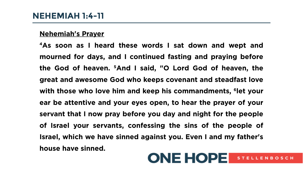#### **Nehemiah's Prayer**

**<sup>4</sup>As soon as I heard these words I sat down and wept and mourned for days, and I continued fasting and praying before the God of heaven. 5And I said, "O Lord God of heaven, the great and awesome God who keeps covenant and steadfast love with those who love him and keep his commandments, <sup>6</sup> let your ear be attentive and your eyes open, to hear the prayer of your servant that I now pray before you day and night for the people of Israel your servants, confessing the sins of the people of Israel, which we have sinned against you. Even I and my father's house have sinned.**

**ONE HOPE** 

**STELLENBOSCH**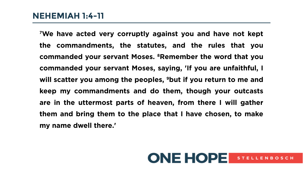**<sup>7</sup>We have acted very corruptly against you and have not kept the commandments, the statutes, and the rules that you commanded your servant Moses. 8Remember the word that you commanded your servant Moses, saying, 'If you are unfaithful, I will scatter you among the peoples, 9but if you return to me and keep my commandments and do them, though your outcasts are in the uttermost parts of heaven, from there I will gather them and bring them to the place that I have chosen, to make my name dwell there.'**

### **ONE HOPE** STELLENBOSCH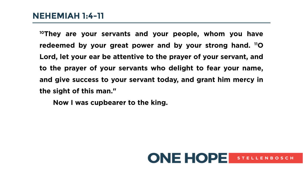### **NEHEMIAH 1:4-11**

**<sup>10</sup>They are your servants and your people, whom you have redeemed by your great power and by your strong hand. 11O Lord, let your ear be attentive to the prayer of your servant, and to the prayer of your servants who delight to fear your name, and give success to your servant today, and grant him mercy in the sight of this man."**

**Now I was cupbearer to the king.** 

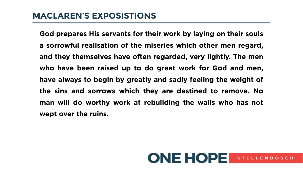**God prepares His servants for their work by laying on their souls a sorrowful realisation of the miseries which other men regard, and they themselves have often regarded, very lightly. The men who have been raised up to do great work for God and men, have always to begin by greatly and sadly feeling the weight of the sins and sorrows which they are destined to remove. No man will do worthy work at rebuilding the walls who has not wept over the ruins.**

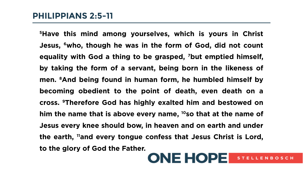**<sup>5</sup>Have this mind among yourselves, which is yours in Christ Jesus, 6who, though he was in the form of God, did not count equality with God a thing to be grasped, 7but emptied himself, by taking the form of a servant, being born in the likeness of men. 8And being found in human form, he humbled himself by becoming obedient to the point of death, even death on a cross. 9Therefore God has highly exalted him and bestowed on him the name that is above every name, 10so that at the name of Jesus every knee should bow, in heaven and on earth and under the earth, 11and every tongue confess that Jesus Christ is Lord, to the glory of God the Father.** 

### **ONE HOPE** STELLENBOSCH